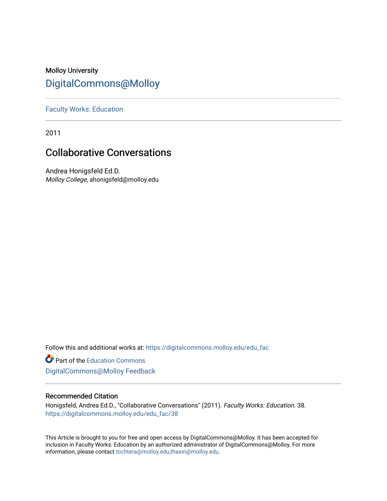## Molloy University [DigitalCommons@Molloy](https://digitalcommons.molloy.edu/)

[Faculty Works: Education](https://digitalcommons.molloy.edu/edu_fac) 

2011

# Collaborative Conversations

Andrea Honigsfeld Ed.D. Molloy College, ahonigsfeld@molloy.edu

Follow this and additional works at: [https://digitalcommons.molloy.edu/edu\\_fac](https://digitalcommons.molloy.edu/edu_fac?utm_source=digitalcommons.molloy.edu%2Fedu_fac%2F38&utm_medium=PDF&utm_campaign=PDFCoverPages)

**C** Part of the [Education Commons](https://network.bepress.com/hgg/discipline/784?utm_source=digitalcommons.molloy.edu%2Fedu_fac%2F38&utm_medium=PDF&utm_campaign=PDFCoverPages) [DigitalCommons@Molloy Feedback](https://molloy.libwizard.com/f/dcfeedback)

## Recommended Citation

Honigsfeld, Andrea Ed.D., "Collaborative Conversations" (2011). Faculty Works: Education. 38. [https://digitalcommons.molloy.edu/edu\\_fac/38](https://digitalcommons.molloy.edu/edu_fac/38?utm_source=digitalcommons.molloy.edu%2Fedu_fac%2F38&utm_medium=PDF&utm_campaign=PDFCoverPages) 

This Article is brought to you for free and open access by DigitalCommons@Molloy. It has been accepted for inclusion in Faculty Works: Education by an authorized administrator of DigitalCommons@Molloy. For more information, please contact [tochtera@molloy.edu,thasin@molloy.edu.](mailto:tochtera@molloy.edu,thasin@molloy.edu)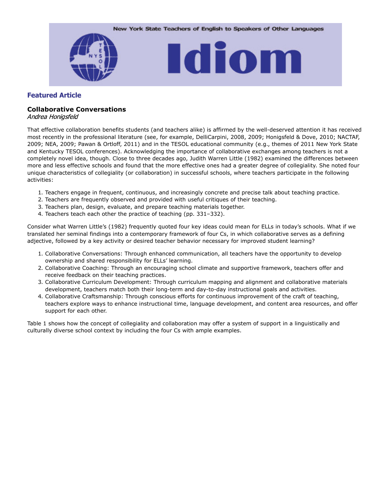

### Featured Article

### Collaborative Conversations

Andrea Honigsfeld

That effective collaboration benefits students (and teachers alike) is affirmed by the well-deserved attention it has received most recently in the professional literature (see, for example, DelliCarpini, 2008, 2009; Honigsfeld & Dove, 2010; NACTAF, 2009; NEA, 2009; Pawan & Ortloff, 2011) and in the TESOL educational community (e.g., themes of 2011 New York State and Kentucky TESOL conferences). Acknowledging the importance of collaborative exchanges among teachers is not a completely novel idea, though. Close to three decades ago, Judith Warren Little (1982) examined the differences between more and less effective schools and found that the more effective ones had a greater degree of collegiality. She noted four unique characteristics of collegiality (or collaboration) in successful schools, where teachers participate in the following activities:

- 1. Teachers engage in frequent, continuous, and increasingly concrete and precise talk about teaching practice.
- 2. Teachers are frequently observed and provided with useful critiques of their teaching.
- 3. Teachers plan, design, evaluate, and prepare teaching materials together.
- 4. Teachers teach each other the practice of teaching (pp. 331–332).

Consider what Warren Little's (1982) frequently quoted four key ideas could mean for ELLs in today's schools. What if we translated her seminal findings into a contemporary framework of four Cs, in which collaborative serves as a defining adjective, followed by a key activity or desired teacher behavior necessary for improved student learning?

- 1. Collaborative Conversations: Through enhanced communication, all teachers have the opportunity to develop ownership and shared responsibility for ELLs' learning.
- 2. Collaborative Coaching: Through an encouraging school climate and supportive framework, teachers offer and receive feedback on their teaching practices.
- 3. Collaborative Curriculum Development: Through curriculum mapping and alignment and collaborative materials development, teachers match both their long-term and day-to-day instructional goals and activities.
- 4. Collaborative Craftsmanship: Through conscious efforts for continuous improvement of the craft of teaching, teachers explore ways to enhance instructional time, language development, and content area resources, and offer support for each other.

Table 1 shows how the concept of collegiality and collaboration may offer a system of support in a linguistically and culturally diverse school context by including the four Cs with ample examples.